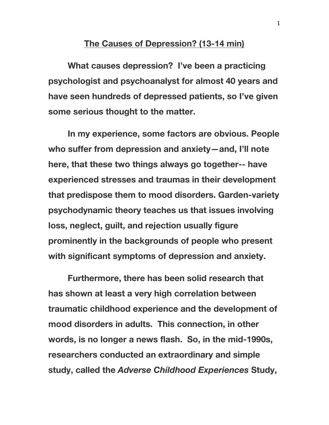## **The Causes of Depression? (13-14 min)**

**What causes depression? I've been a practicing psychologist and psychoanalyst for almost 40 years and have seen hundreds of depressed patients, so I've given some serious thought to the matter.**

**In my experience, some factors are obvious. People who suffer from depression and anxiety—and, I'll note here, that these two things always go together-- have experienced stresses and traumas in their development that predispose them to mood disorders. Garden-variety psychodynamic theory teaches us that issues involving loss, neglect, guilt, and rejection usually figure prominently in the backgrounds of people who present with significant symptoms of depression and anxiety.**

**Furthermore, there has been solid research that has shown at least a very high correlation between traumatic childhood experience and the development of mood disorders in adults. This connection, in other words, is no longer a news flash. So, in the mid-1990s, researchers conducted an extraordinary and simple study, called the** *Adverse Childhood Experiences* **Study,**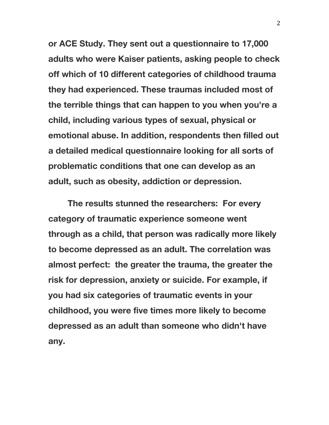**or ACE Study. They sent out a questionnaire to 17,000 adults who were Kaiser patients, asking people to check off which of 10 different categories of childhood trauma they had experienced. These traumas included most of the terrible things that can happen to you when you're a child, including various types of sexual, physical or emotional abuse. In addition, respondents then filled out a detailed medical questionnaire looking for all sorts of problematic conditions that one can develop as an adult, such as obesity, addiction or depression.**

**The results stunned the researchers: For every category of traumatic experience someone went through as a child, that person was radically more likely to become depressed as an adult. The correlation was almost perfect: the greater the trauma, the greater the risk for depression, anxiety or suicide. For example, if you had six categories of traumatic events in your childhood, you were five times more likely to become depressed as an adult than someone who didn't have any.**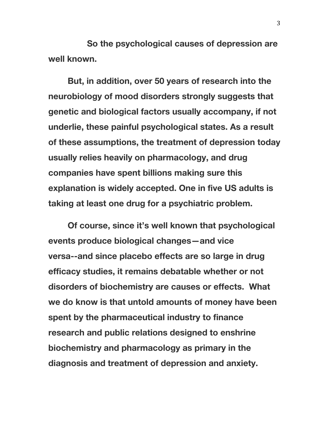**So the psychological causes of depression are well known.**

**But, in addition, over 50 years of research into the neurobiology of mood disorders strongly suggests that genetic and biological factors usually accompany, if not underlie, these painful psychological states. As a result of these assumptions, the treatment of depression today usually relies heavily on pharmacology, and drug companies have spent billions making sure this explanation is widely accepted. One in five US adults is taking at least one drug for a psychiatric problem.**

**Of course, since it's well known that psychological events produce biological changes—and vice versa--and since placebo effects are so large in drug efficacy studies, it remains debatable whether or not disorders of biochemistry are causes or effects. What we do know is that untold amounts of money have been spent by the pharmaceutical industry to finance research and public relations designed to enshrine biochemistry and pharmacology as primary in the diagnosis and treatment of depression and anxiety.**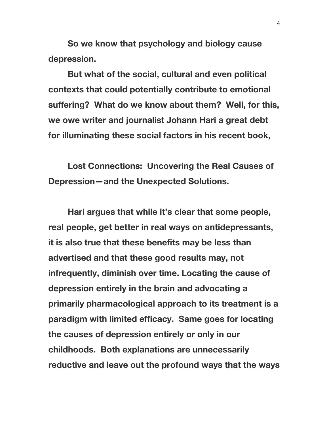**So we know that psychology and biology cause depression.**

**But what of the social, cultural and even political contexts that could potentially contribute to emotional suffering? What do we know about them? Well, for this, we owe writer and journalist Johann Hari a great debt for illuminating these social factors in his recent book,**

**Lost Connections: Uncovering the Real Causes of Depression—and the Unexpected Solutions.**

**Hari argues that while it's clear that some people, real people, get better in real ways on antidepressants, it is also true that these benefits may be less than advertised and that these good results may, not infrequently, diminish over time. Locating the cause of depression entirely in the brain and advocating a primarily pharmacological approach to its treatment is a paradigm with limited efficacy. Same goes for locating the causes of depression entirely or only in our childhoods. Both explanations are unnecessarily reductive and leave out the profound ways that the ways**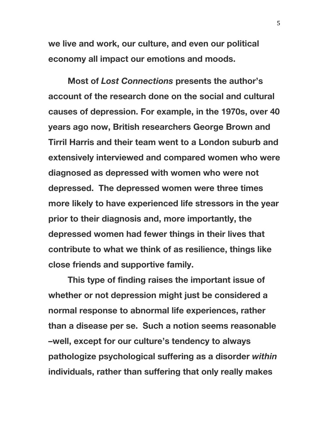**we live and work, our culture, and even our political economy all impact our emotions and moods.**

**Most of** *Lost Connections* **presents the author's account of the research done on the social and cultural causes of depression. For example, in the 1970s, over 40 years ago now, British researchers George Brown and Tirril Harris and their team went to a London suburb and extensively interviewed and compared women who were diagnosed as depressed with women who were not depressed. The depressed women were three times more likely to have experienced life stressors in the year prior to their diagnosis and, more importantly, the depressed women had fewer things in their lives that contribute to what we think of as resilience, things like close friends and supportive family.**

**This type of finding raises the important issue of whether or not depression might just be considered a normal response to abnormal life experiences, rather than a disease per se. Such a notion seems reasonable –well, except for our culture's tendency to always pathologize psychological suffering as a disorder** *within* **individuals, rather than suffering that only really makes**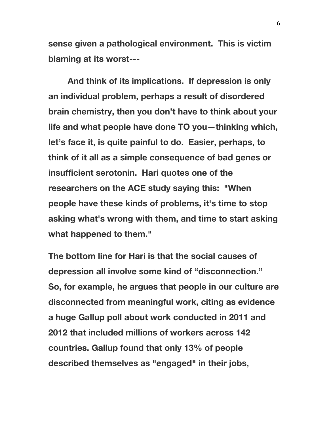**sense given a pathological environment. This is victim blaming at its worst---**

**And think of its implications. If depression is only an individual problem, perhaps a result of disordered brain chemistry, then you don't have to think about your life and what people have done TO you—thinking which, let's face it, is quite painful to do. Easier, perhaps, to think of it all as a simple consequence of bad genes or insufficient serotonin. Hari quotes one of the researchers on the ACE study saying this: "When people have these kinds of problems, it's time to stop asking what's wrong with them, and time to start asking what happened to them."**

**The bottom line for Hari is that the social causes of depression all involve some kind of "disconnection." So, for example, he argues that people in our culture are disconnected from meaningful work, citing as evidence a huge Gallup poll about work conducted in 2011 and 2012 that included millions of workers across 142 countries. Gallup found that only 13% of people described themselves as "engaged" in their jobs,**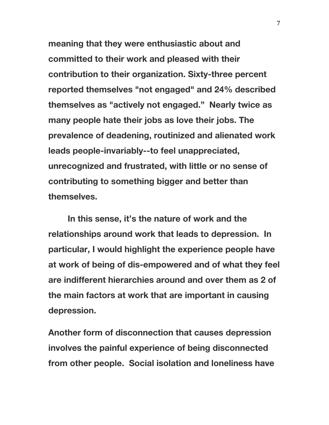**meaning that they were enthusiastic about and committed to their work and pleased with their contribution to their organization. Sixty-three percent reported themselves "not engaged" and 24% described themselves as "actively not engaged." Nearly twice as many people hate their jobs as love their jobs. The prevalence of deadening, routinized and alienated work leads people-invariably--to feel unappreciated, unrecognized and frustrated, with little or no sense of contributing to something bigger and better than themselves.**

**In this sense, it's the nature of work and the relationships around work that leads to depression. In particular, I would highlight the experience people have at work of being of dis-empowered and of what they feel are indifferent hierarchies around and over them as 2 of the main factors at work that are important in causing depression.**

**Another form of disconnection that causes depression involves the painful experience of being disconnected from other people. Social isolation and loneliness have**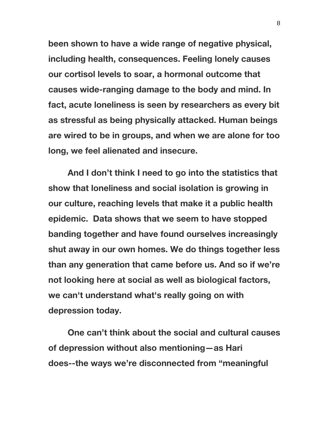**been shown to have a wide range of negative physical, including health, consequences. Feeling lonely causes our cortisol levels to soar, a hormonal outcome that causes wide-ranging damage to the body and mind. In fact, acute loneliness is seen by researchers as every bit as stressful as being physically attacked. Human beings are wired to be in groups, and when we are alone for too long, we feel alienated and insecure.**

**And I don't think I need to go into the statistics that show that loneliness and social isolation is growing in our culture, reaching levels that make it a public health epidemic. Data shows that we seem to have stopped banding together and have found ourselves increasingly shut away in our own homes. We do things together less than any generation that came before us. And so if we're not looking here at social as well as biological factors, we can't understand what's really going on with depression today.**

**One can't think about the social and cultural causes of depression without also mentioning—as Hari does--the ways we're disconnected from "meaningful**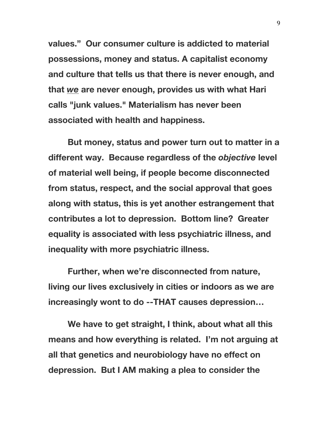**values." Our consumer culture is addicted to material possessions, money and status. A capitalist economy and culture that tells us that there is never enough, and that** *we* **are never enough, provides us with what Hari calls "junk values." Materialism has never been associated with health and happiness.**

**But money, status and power turn out to matter in a different way. Because regardless of the** *objective* **level of material well being, if people become disconnected from status, respect, and the social approval that goes along with status, this is yet another estrangement that contributes a lot to depression. Bottom line? Greater equality is associated with less psychiatric illness, and inequality with more psychiatric illness.**

**Further, when we're disconnected from nature, living our lives exclusively in cities or indoors as we are increasingly wont to do --THAT causes depression…**

**We have to get straight, I think, about what all this means and how everything is related. I'm not arguing at all that genetics and neurobiology have no effect on depression. But I AM making a plea to consider the**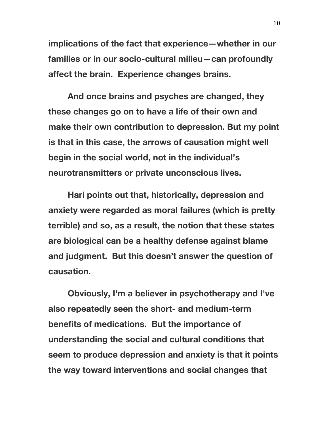**implications of the fact that experience—whether in our families or in our socio-cultural milieu—can profoundly affect the brain. Experience changes brains.**

**And once brains and psyches are changed, they these changes go on to have a life of their own and make their own contribution to depression. But my point is that in this case, the arrows of causation might well begin in the social world, not in the individual's neurotransmitters or private unconscious lives.**

**Hari points out that, historically, depression and anxiety were regarded as moral failures (which is pretty terrible) and so, as a result, the notion that these states are biological can be a healthy defense against blame and judgment. But this doesn't answer the question of causation.**

**Obviously, I'm a believer in psychotherapy and I've also repeatedly seen the short- and medium-term benefits of medications. But the importance of understanding the social and cultural conditions that seem to produce depression and anxiety is that it points the way toward interventions and social changes that**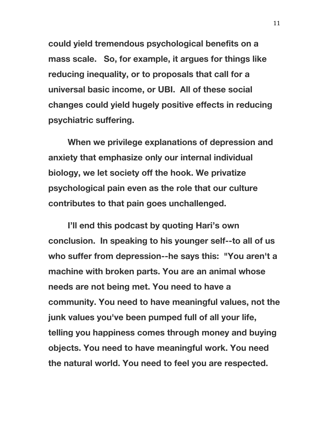**could yield tremendous psychological benefits on a mass scale. So, for example, it argues for things like reducing inequality, or to proposals that call for a universal basic income, or UBI. All of these social changes could yield hugely positive effects in reducing psychiatric suffering.**

**When we privilege explanations of depression and anxiety that emphasize only our internal individual biology, we let society off the hook. We privatize psychological pain even as the role that our culture contributes to that pain goes unchallenged.**

**I'll end this podcast by quoting Hari's own conclusion. In speaking to his younger self--to all of us who suffer from depression--he says this: "You aren't a machine with broken parts. You are an animal whose needs are not being met. You need to have a community. You need to have meaningful values, not the junk values you've been pumped full of all your life, telling you happiness comes through money and buying objects. You need to have meaningful work. You need the natural world. You need to feel you are respected.**